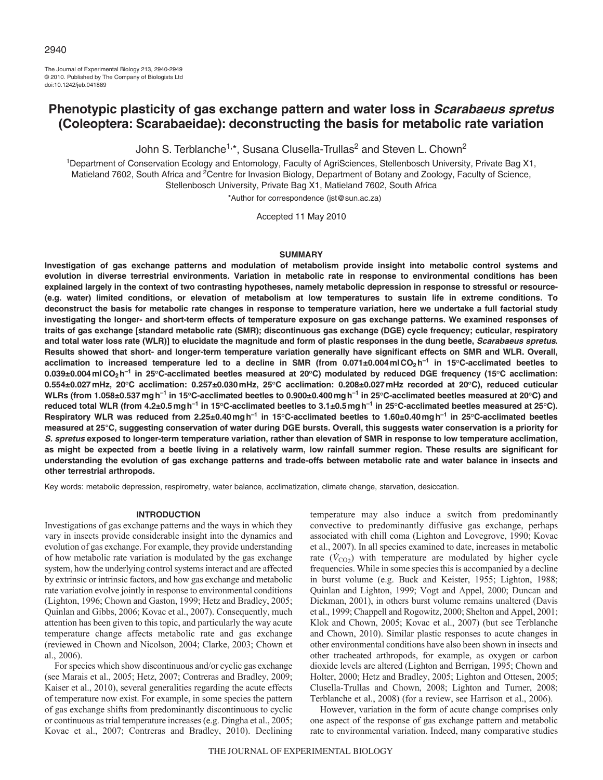The Journal of Experimental Biology 213, 2940-2949 © 2010. Published by The Company of Biologists Ltd doi:10.1242/jeb.041889

# **Phenotypic plasticity of gas exchange pattern and water loss in Scarabaeus spretus (Coleoptera: Scarabaeidae): deconstructing the basis for metabolic rate variation**

John S. Terblanche<sup>1,\*</sup>, Susana Clusella-Trullas<sup>2</sup> and Steven L. Chown<sup>2</sup>

1Department of Conservation Ecology and Entomology, Faculty of AgriSciences, Stellenbosch University, Private Bag X1, Matieland 7602, South Africa and <sup>2</sup>Centre for Invasion Biology, Department of Botany and Zoology, Faculty of Science, Stellenbosch University, Private Bag X1, Matieland 7602, South Africa

\*Author for correspondence (jst@sun.ac.za)

Accepted 11 May 2010

## **SUMMARY**

**Investigation of gas exchange patterns and modulation of metabolism provide insight into metabolic control systems and evolution in diverse terrestrial environments. Variation in metabolic rate in response to environmental conditions has been explained largely in the context of two contrasting hypotheses, namely metabolic depression in response to stressful or resource- (e.g. water) limited conditions, or elevation of metabolism at low temperatures to sustain life in extreme conditions. To deconstruct the basis for metabolic rate changes in response to temperature variation, here we undertake a full factorial study investigating the longer- and short-term effects of temperature exposure on gas exchange patterns. We examined responses of traits of gas exchange [standard metabolic rate (SMR); discontinuous gas exchange (DGE) cycle frequency; cuticular, respiratory** and total water loss rate (WLR)] to elucidate the magnitude and form of plastic responses in the dung beetle, *Scarabaeus spretus*. **Results showed that short- and longer-term temperature variation generally have significant effects on SMR and WLR. Overall, acclimation to increased temperature led to a decline in SMR (from 0.071±0.004mlCO2h–1 in 15°C-acclimated beetles to 0.039±0.004mlCO2h–1 in 25°C-acclimated beetles measured at 20°C) modulated by reduced DGE frequency (15°C acclimation: 0.554±0.027mHz, 20°C acclimation: 0.257±0.030mHz, 25°C acclimation: 0.208±0.027mHz recorded at 20°C), reduced cuticular WLRs (from 1.058±0.537mgh–1 in 15°C-acclimated beetles to 0.900±0.400mgh–1 in 25°C-acclimated beetles measured at 20°C) and reduced total WLR (from 4.2±0.5mgh–1 in 15°C-acclimated beetles to 3.1±0.5mgh–1 in 25°C-acclimated beetles measured at 25°C). Respiratory WLR was reduced from 2.25±0.40mgh–1 in 15°C-acclimated beetles to 1.60±0.40mgh–1 in 25°C-acclimated beetles measured at 25°C, suggesting conservation of water during DGE bursts. Overall, this suggests water conservation is a priority for S. spretus exposed to longer-term temperature variation, rather than elevation of SMR in response to low temperature acclimation, as might be expected from a beetle living in a relatively warm, low rainfall summer region. These results are significant for understanding the evolution of gas exchange patterns and trade-offs between metabolic rate and water balance in insects and other terrestrial arthropods.**

Key words: metabolic depression, respirometry, water balance, acclimatization, climate change, starvation, desiccation.

## **INTRODUCTION**

Investigations of gas exchange patterns and the ways in which they vary in insects provide considerable insight into the dynamics and evolution of gas exchange. For example, they provide understanding of how metabolic rate variation is modulated by the gas exchange system, how the underlying control systems interact and are affected by extrinsic or intrinsic factors, and how gas exchange and metabolic rate variation evolve jointly in response to environmental conditions (Lighton, 1996; Chown and Gaston, 1999; Hetz and Bradley, 2005; Quinlan and Gibbs, 2006; Kovac et al., 2007). Consequently, much attention has been given to this topic, and particularly the way acute temperature change affects metabolic rate and gas exchange (reviewed in Chown and Nicolson, 2004; Clarke, 2003; Chown et al., 2006).

For species which show discontinuous and/or cyclic gas exchange (see Marais et al., 2005; Hetz, 2007; Contreras and Bradley, 2009; Kaiser et al., 2010), several generalities regarding the acute effects of temperature now exist. For example, in some species the pattern of gas exchange shifts from predominantly discontinuous to cyclic or continuous as trial temperature increases (e.g. Dingha et al., 2005; Kovac et al., 2007; Contreras and Bradley, 2010). Declining temperature may also induce a switch from predominantly convective to predominantly diffusive gas exchange, perhaps associated with chill coma (Lighton and Lovegrove, 1990; Kovac et al., 2007). In all species examined to date, increases in metabolic rate  $(\dot{V}_{CO2})$  with temperature are modulated by higher cycle frequencies. While in some species this is accompanied by a decline in burst volume (e.g. Buck and Keister, 1955; Lighton, 1988; Quinlan and Lighton, 1999; Vogt and Appel, 2000; Duncan and Dickman, 2001), in others burst volume remains unaltered (Davis et al., 1999; Chappell and Rogowitz, 2000; Shelton and Appel, 2001; Klok and Chown, 2005; Kovac et al., 2007) (but see Terblanche and Chown, 2010). Similar plastic responses to acute changes in other environmental conditions have also been shown in insects and other tracheated arthropods, for example, as oxygen or carbon dioxide levels are altered (Lighton and Berrigan, 1995; Chown and Holter, 2000; Hetz and Bradley, 2005; Lighton and Ottesen, 2005; Clusella-Trullas and Chown, 2008; Lighton and Turner, 2008; Terblanche et al., 2008) (for a review, see Harrison et al., 2006).

However, variation in the form of acute change comprises only one aspect of the response of gas exchange pattern and metabolic rate to environmental variation. Indeed, many comparative studies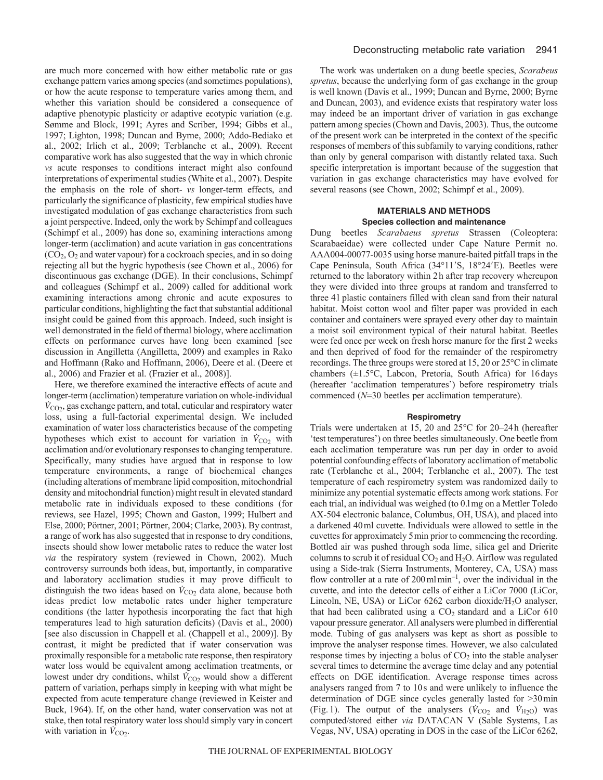are much more concerned with how either metabolic rate or gas exchange pattern varies among species (and sometimes populations), or how the acute response to temperature varies among them, and whether this variation should be considered a consequence of adaptive phenotypic plasticity or adaptive ecotypic variation (e.g. Sømme and Block, 1991; Ayres and Scriber, 1994; Gibbs et al., 1997; Lighton, 1998; Duncan and Byrne, 2000; Addo-Bediako et al., 2002; Irlich et al., 2009; Terblanche et al., 2009). Recent comparative work has also suggested that the way in which chronic *vs* acute responses to conditions interact might also confound interpretations of experimental studies (White et al., 2007). Despite the emphasis on the role of short- *vs* longer-term effects, and particularly the significance of plasticity, few empirical studies have investigated modulation of gas exchange characteristics from such a joint perspective. Indeed, only the work by Schimpf and colleagues (Schimpf et al., 2009) has done so, examining interactions among longer-term (acclimation) and acute variation in gas concentrations  $(CO<sub>2</sub>, O<sub>2</sub>$  and water vapour) for a cockroach species, and in so doing rejecting all but the hygric hypothesis (see Chown et al., 2006) for discontinuous gas exchange (DGE). In their conclusions, Schimpf and colleagues (Schimpf et al., 2009) called for additional work examining interactions among chronic and acute exposures to particular conditions, highlighting the fact that substantial additional insight could be gained from this approach. Indeed, such insight is well demonstrated in the field of thermal biology, where acclimation effects on performance curves have long been examined [see discussion in Angilletta (Angilletta, 2009) and examples in Rako and Hoffmann (Rako and Hoffmann, 2006), Deere et al. (Deere et al., 2006) and Frazier et al. (Frazier et al., 2008)].

Here, we therefore examined the interactive effects of acute and longer-term (acclimation) temperature variation on whole-individual  $V_{\text{CO}_2}$ , gas exchange pattern, and total, cuticular and respiratory water loss, using a full-factorial experimental design. We included examination of water loss characteristics because of the competing hypotheses which exist to account for variation in  $V_{\text{CO}_2}$  with acclimation and/or evolutionary responses to changing temperature. Specifically, many studies have argued that in response to low temperature environments, a range of biochemical changes (including alterations of membrane lipid composition, mitochondrial density and mitochondrial function) might result in elevated standard metabolic rate in individuals exposed to these conditions (for reviews, see Hazel, 1995; Chown and Gaston, 1999; Hulbert and Else, 2000; Pörtner, 2001; Pörtner, 2004; Clarke, 2003). By contrast, a range of work has also suggested that in response to dry conditions, insects should show lower metabolic rates to reduce the water lost *via* the respiratory system (reviewed in Chown, 2002). Much controversy surrounds both ideas, but, importantly, in comparative and laboratory acclimation studies it may prove difficult to distinguish the two ideas based on  $\dot{V}_{\text{CO}_2}$  data alone, because both ideas predict low metabolic rates under higher temperature conditions (the latter hypothesis incorporating the fact that high temperatures lead to high saturation deficits) (Davis et al., 2000) [see also discussion in Chappell et al. (Chappell et al., 2009)]. By contrast, it might be predicted that if water conservation was proximally responsible for a metabolic rate response, then respiratory water loss would be equivalent among acclimation treatments, or lowest under dry conditions, whilst  $\dot{V}_{CO_2}$  would show a different pattern of variation, perhaps simply in keeping with what might be expected from acute temperature change (reviewed in Keister and Buck, 1964). If, on the other hand, water conservation was not at stake, then total respiratory water loss should simply vary in concert with variation in  $\dot{V}_{\text{CO2}}$ .

The work was undertaken on a dung beetle species, *Scarabeus spretus*, because the underlying form of gas exchange in the group is well known (Davis et al., 1999; Duncan and Byrne, 2000; Byrne and Duncan, 2003), and evidence exists that respiratory water loss may indeed be an important driver of variation in gas exchange pattern among species (Chown and Davis, 2003). Thus, the outcome of the present work can be interpreted in the context of the specific responses of members of this subfamily to varying conditions, rather than only by general comparison with distantly related taxa. Such specific interpretation is important because of the suggestion that variation in gas exchange characteristics may have evolved for several reasons (see Chown, 2002; Schimpf et al., 2009).

# **MATERIALS AND METHODS Species collection and maintenance**

Dung beetles *Scarabaeus spretus* Strassen (Coleoptera: Scarabaeidae) were collected under Cape Nature Permit no. AAA004-00077-0035 using horse manure-baited pitfall traps in the Cape Peninsula, South Africa (34°11'S, 18°24'E). Beetles were returned to the laboratory within 2h after trap recovery whereupon they were divided into three groups at random and transferred to three 4l plastic containers filled with clean sand from their natural habitat. Moist cotton wool and filter paper was provided in each container and containers were sprayed every other day to maintain a moist soil environment typical of their natural habitat. Beetles were fed once per week on fresh horse manure for the first 2 weeks and then deprived of food for the remainder of the respirometry recordings. The three groups were stored at 15, 20 or 25°C in climate chambers (±1.5°C, Labcon, Pretoria, South Africa) for 16days (hereafter 'acclimation temperatures') before respirometry trials commenced ( $N=30$  beetles per acclimation temperature).

# **Respirometry**

Trials were undertaken at 15, 20 and 25°C for 20–24h (hereafter 'test temperatures') on three beetles simultaneously. One beetle from each acclimation temperature was run per day in order to avoid potential confounding effects of laboratory acclimation of metabolic rate (Terblanche et al., 2004; Terblanche et al., 2007). The test temperature of each respirometry system was randomized daily to minimize any potential systematic effects among work stations. For each trial, an individual was weighed (to 0.lmg on a Mettler Toledo AX-504 electronic balance, Columbus, OH, USA), and placed into a darkened 40ml cuvette. Individuals were allowed to settle in the cuvettes for approximately 5min prior to commencing the recording. Bottled air was pushed through soda lime, silica gel and Drierite columns to scrub it of residual  $CO<sub>2</sub>$  and  $H<sub>2</sub>O$ . Airflow was regulated using a Side-trak (Sierra Instruments, Monterey, CA, USA) mass flow controller at a rate of  $200 \text{ml} \text{min}^{-1}$ , over the individual in the cuvette, and into the detector cells of either a LiCor 7000 (LiCor, Lincoln, NE, USA) or LiCor  $6262$  carbon dioxide/H<sub>2</sub>O analyser, that had been calibrated using a  $CO<sub>2</sub>$  standard and a LiCor 610 vapour pressure generator. All analysers were plumbed in differential mode. Tubing of gas analysers was kept as short as possible to improve the analyser response times. However, we also calculated response times by injecting a bolus of  $CO<sub>2</sub>$  into the stable analyser several times to determine the average time delay and any potential effects on DGE identification. Average response times across analysers ranged from 7 to 10s and were unlikely to influence the determination of DGE since cycles generally lasted for >30min (Fig. 1). The output of the analysers ( $\dot{V}_{CO_2}$  and  $\dot{V}_{H2O}$ ) was computed/stored either *via* DATACAN V (Sable Systems, Las Vegas, NV, USA) operating in DOS in the case of the LiCor 6262,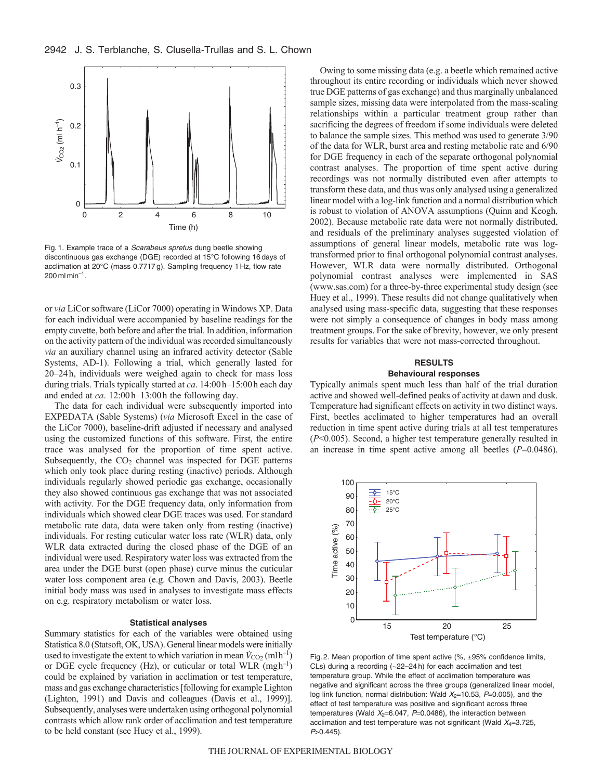

Fig. 1. Example trace of a Scarabeus spretus dung beetle showing discontinuous gas exchange (DGE) recorded at 15°C following 16 days of acclimation at 20°C (mass 0.7717 g). Sampling frequency 1 Hz, flow rate  $200$  ml min<sup>-1</sup>.

or *via* LiCor software (LiCor 7000) operating in Windows XP. Data for each individual were accompanied by baseline readings for the empty cuvette, both before and after the trial. In addition, information on the activity pattern of the individual was recorded simultaneously *via* an auxiliary channel using an infrared activity detector (Sable Systems, AD-1). Following a trial, which generally lasted for 20–24h, individuals were weighed again to check for mass loss during trials. Trials typically started at *ca*. 14:00h–15:00h each day and ended at *ca*. 12:00h–13:00h the following day.

The data for each individual were subsequently imported into EXPEDATA (Sable Systems) (*via* Microsoft Excel in the case of the LiCor 7000), baseline-drift adjusted if necessary and analysed using the customized functions of this software. First, the entire trace was analysed for the proportion of time spent active. Subsequently, the  $CO<sub>2</sub>$  channel was inspected for DGE patterns which only took place during resting (inactive) periods. Although individuals regularly showed periodic gas exchange, occasionally they also showed continuous gas exchange that was not associated with activity. For the DGE frequency data, only information from individuals which showed clear DGE traces was used. For standard metabolic rate data, data were taken only from resting (inactive) individuals. For resting cuticular water loss rate (WLR) data, only WLR data extracted during the closed phase of the DGE of an individual were used. Respiratory water loss was extracted from the area under the DGE burst (open phase) curve minus the cuticular water loss component area (e.g. Chown and Davis, 2003). Beetle initial body mass was used in analyses to investigate mass effects on e.g. respiratory metabolism or water loss.

#### **Statistical analyses**

Summary statistics for each of the variables were obtained using Statistica 8.0 (Statsoft, OK, USA). General linear models were initially used to investigate the extent to which variation in mean  $\dot{V}_{\text{CO}_2}(\text{mlh}^{-1})$ or DGE cycle frequency (Hz), or cuticular or total WLR  $(mgh^{-1})$ could be explained by variation in acclimation or test temperature, mass and gas exchange characteristics [following for example Lighton (Lighton, 1991) and Davis and colleagues (Davis et al., 1999)]. Subsequently, analyses were undertaken using orthogonal polynomial contrasts which allow rank order of acclimation and test temperature to be held constant (see Huey et al., 1999).

Owing to some missing data (e.g. a beetle which remained active throughout its entire recording or individuals which never showed true DGE patterns of gas exchange) and thus marginally unbalanced sample sizes, missing data were interpolated from the mass-scaling relationships within a particular treatment group rather than sacrificing the degrees of freedom if some individuals were deleted to balance the sample sizes. This method was used to generate 3/90 of the data for WLR, burst area and resting metabolic rate and 6/90 for DGE frequency in each of the separate orthogonal polynomial contrast analyses. The proportion of time spent active during recordings was not normally distributed even after attempts to transform these data, and thus was only analysed using a generalized linear model with a log-link function and a normal distribution which is robust to violation of ANOVA assumptions (Quinn and Keogh, 2002). Because metabolic rate data were not normally distributed, and residuals of the preliminary analyses suggested violation of assumptions of general linear models, metabolic rate was logtransformed prior to final orthogonal polynomial contrast analyses. However, WLR data were normally distributed. Orthogonal polynomial contrast analyses were implemented in SAS (www.sas.com) for a three-by-three experimental study design (see Huey et al., 1999). These results did not change qualitatively when analysed using mass-specific data, suggesting that these responses were not simply a consequence of changes in body mass among treatment groups. For the sake of brevity, however, we only present results for variables that were not mass-corrected throughout.

# **RESULTS**

## **Behavioural responses**

Typically animals spent much less than half of the trial duration active and showed well-defined peaks of activity at dawn and dusk. Temperature had significant effects on activity in two distinct ways. First, beetles acclimated to higher temperatures had an overall reduction in time spent active during trials at all test temperatures (*P*<0.005). Second, a higher test temperature generally resulted in an increase in time spent active among all beetles  $(P=0.0486)$ .



Fig. 2. Mean proportion of time spent active (%, ±95% confidence limits, CLs) during a recording (~22–24 h) for each acclimation and test temperature group. While the effect of acclimation temperature was negative and significant across the three groups (generalized linear model, log link function, normal distribution: Wald  $X_2$ =10.53, P=0.005), and the effect of test temperature was positive and significant across three temperatures (Wald  $X_2=6.047$ ,  $P=0.0486$ ), the interaction between acclimation and test temperature was not significant (Wald  $X_4=3.725$ ,  $P > 0.445$ ).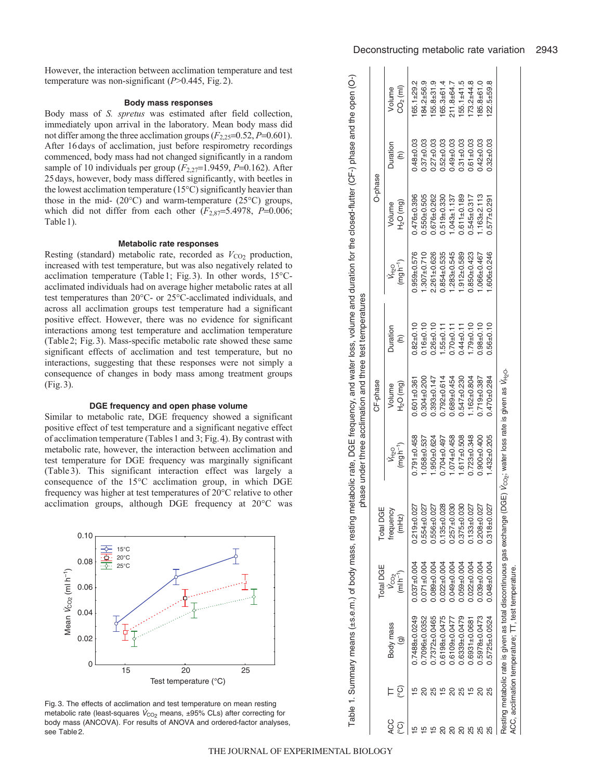However, the interaction between acclimation temperature and test temperature was non-significant (*P*>0.445, Fig.2).

#### **Body mass responses**

Body mass of *S. spretus* was estimated after field collection, immediately upon arrival in the laboratory. Mean body mass did not differ among the three acclimation groups  $(F_{2,25}=0.52, P=0.601)$ . After 16days of acclimation, just before respirometry recordings commenced, body mass had not changed significantly in a random sample of 10 individuals per group ( $F_{2,27}=1.9459$ ,  $P=0.162$ ). After 25days, however, body mass differed significantly, with beetles in the lowest acclimation temperature (15°C) significantly heavier than those in the mid-  $(20^{\circ}$ C) and warm-temperature  $(25^{\circ}$ C) groups, which did not differ from each other  $(F_{2,87}=5.4978, P=0.006;$ Table1).

#### **Metabolic rate responses**

Resting (standard) metabolic rate, recorded as  $V_{CO_2}$  production, increased with test temperature, but was also negatively related to acclimation temperature (Table1; Fig.3). In other words, 15°Cacclimated individuals had on average higher metabolic rates at all test temperatures than 20°C- or 25°C-acclimated individuals, and across all acclimation groups test temperature had a significant positive effect. However, there was no evidence for significant interactions among test temperature and acclimation temperature (Table2; Fig.3). Mass-specific metabolic rate showed these same significant effects of acclimation and test temperature, but no interactions, suggesting that these responses were not simply a consequence of changes in body mass among treatment groups (Fig.3).

# **DGE frequency and open phase volume**

Similar to metabolic rate, DGE frequency showed a significant positive effect of test temperature and a significant negative effect of acclimation temperature (Tables1 and 3; Fig.4). By contrast with metabolic rate, however, the interaction between acclimation and test temperature for DGE frequency was marginally significant (Table 3). This significant interaction effect was largely a consequence of the 15°C acclimation group, in which DGE frequency was higher at test temperatures of 20°C relative to other acclimation groups, although DGE frequency at 20°C was



|                 |    |                     | Total DGE                      | Total DGE          |                            | CF-phase             |                 |                                        | O-phase              |                                  |                      |
|-----------------|----|---------------------|--------------------------------|--------------------|----------------------------|----------------------|-----------------|----------------------------------------|----------------------|----------------------------------|----------------------|
| <b>ACC</b><br>ၟ | ၟ  | Body mass           | $(m \mid h^{-1})$<br>$V_{CO2}$ | frequency<br>(mHz) | $(mgh^{-1})$<br>$V_{H_2O}$ | $H2O$ (mg)<br>Volume | Duration<br>Ξ   | $(mgh^{-1})$<br><b>V<sub>H2O</sub></b> | $H2O$ (mg)<br>Volume | Duration<br>$\widehat{\epsilon}$ | $CO2$ (ml)<br>Volume |
|                 |    | 0.7488±0.0249       | $0.037 \pm 0.004$              | $0.219 + 0.027$    | $0.791 \pm 0.458$          | $0.601 + 0.361$      | $0.82 + 0.10$   | $0.959 + 0.576$                        | $0.476 + 0.396$      | $0.48 + 0.03$                    | 65.1±29.2            |
|                 |    | 0.7096±0.0352       | $0.071 \pm 0.004$              | $0.554 + 0.027$    | $.058 + 0.537$             | $0.304 + 0.200$      | $0.16 + 0.10$   | $.307 + 0.710$                         | $0.550 + 0.505$      | $0.37 + 0.03$                    | 84.2±56.9            |
|                 |    | $0.7372 + 0.0465$   | $0.089_{\pm}0.004$             | $0.556 \pm 0.027$  | $950 \pm 0.624$            | $0.393 \pm 0.147$    | $0.26 + 0.10$   | $2.261 + 0.626$                        | $0.676 + 0.262$      | $0.27 + 0.03$                    | 55.8±31.9            |
|                 |    | $0.6198 + 0.0475$   | $0.022 \pm 0.004$              | $0.135 + 0.028$    | $0.704 + 0.497$            | $0.792 + 0.614$      | $.55 \pm 0.11$  | $0.854 + 0.535$                        | $0.519 + 0.330$      | $0.52 + 0.03$                    | 65.3±61.4            |
|                 |    | $0.6109 + 0.0477$   | $0.049 + 0.004$                | $0.257 + 0.030$    | $1.074 + 0.458$            | $0.689 + 0.454$      | $0.70 + 0.11$   | $.283 + 0.545$                         | $.043 \pm 1.137$     | $0.49 + 0.03$                    | 211.8±64.7           |
|                 |    | $0.6339 + 0.0479$   | $0.059 + 0.004$                | $0.375 + 0.030$    | $1.617 \pm 0.508$          | $0.547 + 0.230$      | $0.44 \pm 0.11$ | $.912 \pm 0.589$                       | $0.611 + 0.189$      | $0.31 \pm 0.03$                  | $155.1 + 41.5$       |
|                 |    | $0.6931 + 0.0681$   | $0.022 \pm 0.004$              | $0.133 + 0.027$    | $0.723 + 0.348$            | $.162 + 0.804$       | $.79 + 0.10$    | $0.850 + 0.423$                        | $0.545 + 0.317$      | $0.61 + 0.03$                    | $73.2 + 44.8$        |
|                 |    | $0.5978 + 0.0473$   | $0.039 + 0.004$                | $0.208 + 0.027$    | $0.900 + 0.400$            | $0.719 + 0.387$      | $0.98 + 0.10$   | $.066 \pm 0.467$                       | $.163 + 2.113$       | $0.42 + 0.03$                    | 85.8±61.0            |
| 25              | 25 | $0.5725 \pm 0.0524$ | $0.048 + 0.004$                | $0.318 + 0.027$    | $432 + 0.205$              | $0.470 + 0.284$      | $3.56 \pm 0.10$ | $.606 \pm 0.246$                       | $0.577 + 0.291$      | $0.32 \pm 0.03$                  | $22.5 + 59.8$        |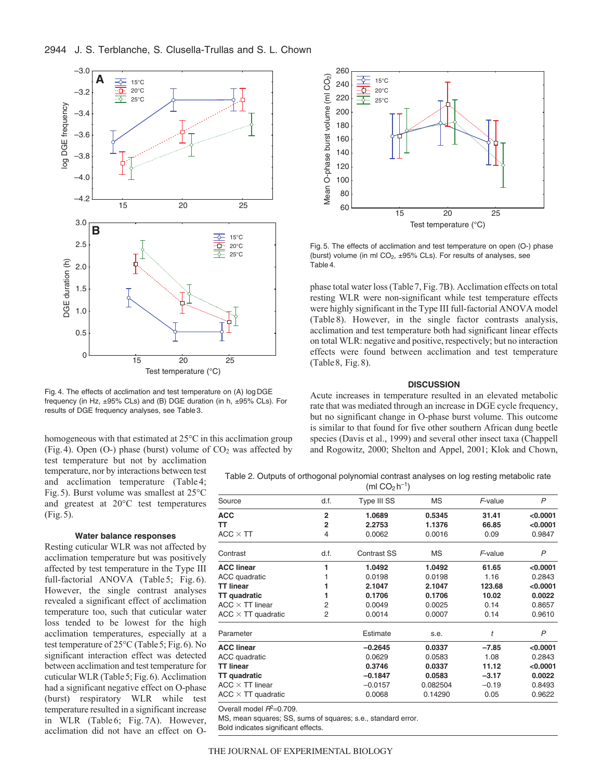

Fig. 4. The effects of acclimation and test temperature on (A) log DGE frequency (in Hz, ±95% CLs) and (B) DGE duration (in h, ±95% CLs). For results of DGE frequency analyses, see Table 3.

homogeneous with that estimated at 25°C in this acclimation group (Fig. 4). Open (O-) phase (burst) volume of  $CO<sub>2</sub>$  was affected by test temperature but not by acclimation

temperature, nor by interactions between test and acclimation temperature (Table 4; Fig.5). Burst volume was smallest at 25°C and greatest at 20°C test temperatures (Fig.5).

# **Water balance responses**

Resting cuticular WLR was not affected by acclimation temperature but was positively affected by test temperature in the Type III full-factorial ANOVA (Table 5; Fig. 6). However, the single contrast analyses revealed a significant effect of acclimation temperature too, such that cuticular water loss tended to be lowest for the high acclimation temperatures, especially at a test temperature of 25°C (Table5; Fig.6). No significant interaction effect was detected between acclimation and test temperature for cuticular WLR (Table5; Fig.6). Acclimation had a significant negative effect on O-phase (burst) respiratory WLR while test temperature resulted in a significant increase in WLR (Table 6; Fig. 7A). However, acclimation did not have an effect on O-



Fig. 5. The effects of acclimation and test temperature on open (O-) phase (burst) volume (in ml  $CO<sub>2</sub>$ ,  $\pm 95\%$  CLs). For results of analyses, see Table 4.

phase total water loss (Table7, Fig.7B). Acclimation effects on total resting WLR were non-significant while test temperature effects were highly significant in the Type III full-factorial ANOVA model (Table 8). However, in the single factor contrasts analysis, acclimation and test temperature both had significant linear effects on total WLR: negative and positive, respectively; but no interaction effects were found between acclimation and test temperature (Table8, Fig.8).

## **DISCUSSION**

Acute increases in temperature resulted in an elevated metabolic rate that was mediated through an increase in DGE cycle frequency, but no significant change in O-phase burst volume. This outcome is similar to that found for five other southern African dung beetle species (Davis et al., 1999) and several other insect taxa (Chappell and Rogowitz, 2000; Shelton and Appel, 2001; Klok and Chown,

Table 2. Outputs of orthogonal polynomial contrast analyses on log resting metabolic rate  $(m<sub>1</sub>CO<sub>0</sub> h<sup>-1</sup>)$ 

|                           |                | , <b></b> 1        |           |         |          |
|---------------------------|----------------|--------------------|-----------|---------|----------|
| Source                    | d.f.           | Type III SS        | <b>MS</b> | F-value | P        |
| ACC                       | $\overline{2}$ | 1.0689             | 0.5345    | 31.41   | < 0.0001 |
| тт                        | $\overline{2}$ | 2.2753             | 1.1376    | 66.85   | < 0.0001 |
| $ACC\times TT$            | 4              | 0.0062             | 0.0016    | 0.09    | 0.9847   |
| Contrast                  | d.f.           | <b>Contrast SS</b> | MS        | F-value | P        |
| <b>ACC linear</b>         | 1              | 1.0492             | 1.0492    | 61.65   | < 0.0001 |
| ACC quadratic             |                | 0.0198             | 0.0198    | 1.16    | 0.2843   |
| TT linear                 | 1              | 2.1047             | 2.1047    | 123.68  | < 0.0001 |
| TT quadratic              |                | 0.1706             | 0.1706    | 10.02   | 0.0022   |
| ACC $\times$ TT linear    | 2              | 0.0049             | 0.0025    | 0.14    | 0.8657   |
| $ACC \times TT$ quadratic | 2              | 0.0014             | 0.0007    | 0.14    | 0.9610   |
| Parameter                 |                | Estimate           | s.e.      | t       | P        |
| <b>ACC linear</b>         |                | $-0.2645$          | 0.0337    | $-7.85$ | < 0.0001 |
| ACC quadratic             |                | 0.0629             | 0.0583    | 1.08    | 0.2843   |
| TT linear                 |                | 0.3746             | 0.0337    | 11.12   | < 0.0001 |
| <b>TT</b> quadratic       |                | $-0.1847$          | 0.0583    | $-3.17$ | 0.0022   |
| $ACC\times TT$ linear     |                | $-0.0157$          | 0.082504  | $-0.19$ | 0.8493   |
| ACC $\times$ TT quadratic |                | 0.0068             | 0.14290   | 0.05    | 0.9622   |
|                           |                |                    |           |         |          |

Overall model  $B^2=0.709$ .

MS, mean squares; SS, sums of squares; s.e., standard error.

Bold indicates significant effects.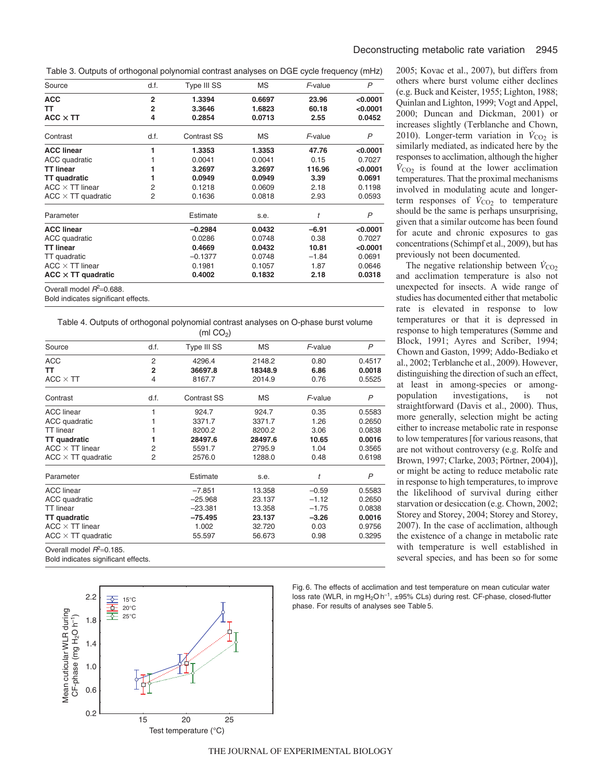Table 3. Outputs of orthogonal polynomial contrast analyses on DGE cycle frequency (mHz)

| Source                    | d.f.           | Type III SS        | МS     | F-value | P        |
|---------------------------|----------------|--------------------|--------|---------|----------|
| <b>ACC</b>                | $\mathbf{2}$   | 1.3394             | 0.6697 | 23.96   | < 0.0001 |
| TТ                        | $\overline{2}$ | 3.3646             | 1.6823 | 60.18   | < 0.0001 |
| $ACC \times TT$           | 4              | 0.2854             | 0.0713 | 2.55    | 0.0452   |
| Contrast                  | d.f.           | <b>Contrast SS</b> | МS     | F-value | P        |
| <b>ACC linear</b>         | 1              | 1.3353             | 1.3353 | 47.76   | < 0.0001 |
| ACC quadratic             |                | 0.0041             | 0.0041 | 0.15    | 0.7027   |
| <b>TT linear</b>          |                | 3.2697             | 3.2697 | 116.96  | < 0.0001 |
| <b>TT</b> quadratic       |                | 0.0949             | 0.0949 | 3.39    | 0.0691   |
| $ACC \times TT$ linear    | 2              | 0.1218             | 0.0609 | 2.18    | 0.1198   |
| $ACC \times TT$ quadratic | 2              | 0.1636             | 0.0818 | 2.93    | 0.0593   |
| Parameter                 |                | Estimate           | s.e.   | t       | P        |
| <b>ACC linear</b>         |                | $-0.2984$          | 0.0432 | $-6.91$ | < 0.0001 |
| ACC quadratic             |                | 0.0286             | 0.0748 | 0.38    | 0.7027   |
| <b>TT linear</b>          |                | 0.4669             | 0.0432 | 10.81   | < 0.0001 |
| TT quadratic              |                | $-0.1377$          | 0.0748 | $-1.84$ | 0.0691   |
| $ACC \times TT$ linear    |                | 0.1981             | 0.1057 | 1.87    | 0.0646   |
| $ACC \times TT$ quadratic |                | 0.4002             | 0.1832 | 2.18    | 0.0318   |

Bold indicates significant effects.

Table 4. Outputs of orthogonal polynomial contrast analyses on O-phase burst volume  $(mC)$ 

|                             |                | $(1111 \cup 9)$    |         |         |              |
|-----------------------------|----------------|--------------------|---------|---------|--------------|
| Source                      | d.f.           | Type III SS        | МS      | F-value | $\mathsf{P}$ |
| <b>ACC</b>                  | $\overline{2}$ | 4296.4             | 2148.2  | 0.80    | 0.4517       |
| TΤ                          | $\overline{2}$ | 36697.8            | 18348.9 | 6.86    | 0.0018       |
| $ACC \times TT$             | 4              | 8167.7             | 2014.9  | 0.76    | 0.5525       |
| Contrast                    | d.f.           | <b>Contrast SS</b> | MS      | F-value | P            |
| <b>ACC</b> linear           | 1              | 924.7              | 924.7   | 0.35    | 0.5583       |
| ACC quadratic               |                | 3371.7             | 3371.7  | 1.26    | 0.2650       |
| <b>TT</b> linear            |                | 8200.2             | 8200.2  | 3.06    | 0.0838       |
| <b>TT</b> quadratic         |                | 28497.6            | 28497.6 | 10.65   | 0.0016       |
| $ACC \times TT$ linear      | 2              | 5591.7             | 2795.9  | 1.04    | 0.3565       |
| $ACC \times TT$ quadratic   | 2              | 2576.0             | 1288.0  | 0.48    | 0.6198       |
| Parameter                   |                | Estimate           | s.e.    | t       | P            |
| <b>ACC</b> linear           |                | $-7.851$           | 13.358  | $-0.59$ | 0.5583       |
| ACC quadratic               |                | $-25.968$          | 23.137  | $-1.12$ | 0.2650       |
| <b>TT</b> linear            |                | $-23.381$          | 13.358  | $-1.75$ | 0.0838       |
| <b>TT</b> quadratic         |                | $-75.495$          | 23.137  | $-3.26$ | 0.0016       |
| $ACC \times TT$ linear      |                | 1.002              | 32.720  | 0.03    | 0.9756       |
| $ACC \times TT$ quadratic   |                | 55.597             | 56.673  | 0.98    | 0.3295       |
| Overall model $R^2=0.185$ . |                |                    |         |         |              |
|                             |                |                    |         |         |              |

Bold indicates significant effects.



2005; Kovac et al., 2007), but differs from others where burst volume either declines (e.g. Buck and Keister, 1955; Lighton, 1988; Quinlan and Lighton, 1999; Vogt and Appel, 2000; Duncan and Dickman, 2001) or increases slightly (Terblanche and Chown, 2010). Longer-term variation in  $\dot{V}_{CO_2}$  is similarly mediated, as indicated here by the responses to acclimation, although the higher  $\dot{V}_{\text{CO}_2}$  is found at the lower acclimation temperatures. That the proximal mechanisms involved in modulating acute and longerterm responses of  $\dot{V}_{\text{CO}_2}$  to temperature should be the same is perhaps unsurprising, given that a similar outcome has been found for acute and chronic exposures to gas concentrations (Schimpf et al., 2009), but has previously not been documented.

The negative relationship between  $\dot{V}_{CO_2}$ and acclimation temperature is also not unexpected for insects. A wide range of studies has documented either that metabolic rate is elevated in response to low temperatures or that it is depressed in response to high temperatures (Sømme and Block, 1991; Ayres and Scriber, 1994; Chown and Gaston, 1999; Addo-Bediako et al., 2002; Terblanche et al., 2009). However, distinguishing the direction of such an effect, at least in among-species or amongpopulation investigations, is not straightforward (Davis et al., 2000). Thus, more generally, selection might be acting either to increase metabolic rate in response to low temperatures [for various reasons, that are not without controversy (e.g. Rolfe and Brown, 1997; Clarke, 2003; Pörtner, 2004)], or might be acting to reduce metabolic rate in response to high temperatures, to improve the likelihood of survival during either starvation or desiccation (e.g. Chown, 2002; Storey and Storey, 2004; Storey and Storey, 2007). In the case of acclimation, although the existence of a change in metabolic rate with temperature is well established in several species, and has been so for some

Fig. 6. The effects of acclimation and test temperature on mean cuticular water loss rate (WLR, in mg  $H_2Oh^{-1}$ ,  $\pm 95\%$  CLs) during rest. CF-phase, closed-flutter phase. For results of analyses see Table 5.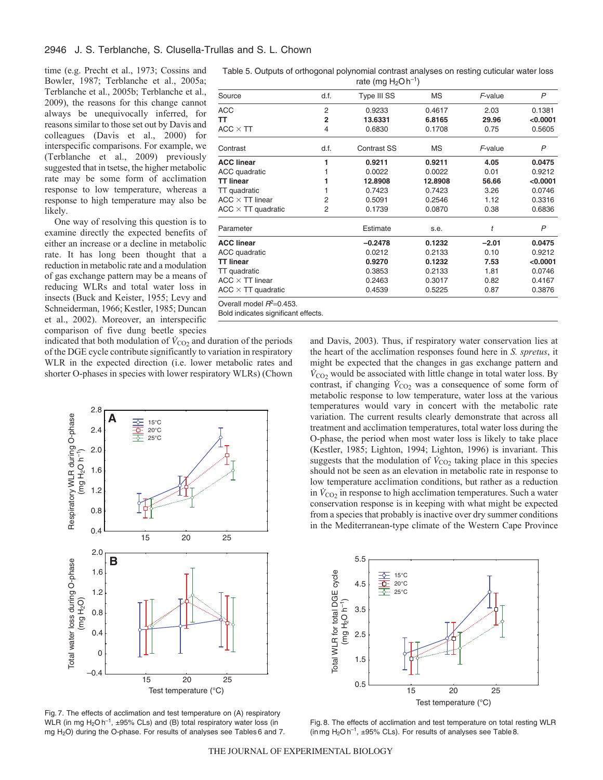time (e.g. Precht et al., 1973; Cossins and Bowler, 1987; Terblanche et al., 2005a; Terblanche et al., 2005b; Terblanche et al., 2009), the reasons for this change cannot always be unequivocally inferred, for reasons similar to those set out by Davis and colleagues (Davis et al., 2000) for interspecific comparisons. For example, we (Terblanche et al., 2009) previously suggested that in tsetse, the higher metabolic rate may be some form of acclimation response to low temperature, whereas a response to high temperature may also be likely.

One way of resolving this question is to examine directly the expected benefits of either an increase or a decline in metabolic rate. It has long been thought that a reduction in metabolic rate and a modulation of gas exchange pattern may be a means of reducing WLRs and total water loss in insects (Buck and Keister, 1955; Levy and Schneiderman, 1966; Kestler, 1985; Duncan et al., 2002). Moreover, an interspecific comparison of five dung beetle species

indicated that both modulation of  $\dot{V}_{CO2}$  and duration of the periods of the DGE cycle contribute significantly to variation in respiratory WLR in the expected direction (i.e. lower metabolic rates and shorter O-phases in species with lower respiratory WLRs) (Chown



Fig. 7. The effects of acclimation and test temperature on (A) respiratory WLR (in mg  $H_2Oh^{-1}$ ,  $\pm 95\%$  CLs) and (B) total respiratory water loss (in mg H<sub>2</sub>O) during the O-phase. For results of analyses see Tables 6 and 7.

| Table 5. Outputs of orthogonal polynomial contrast analyses on resting cuticular water loss |  |
|---------------------------------------------------------------------------------------------|--|
| rate (mg $H_2OH^{-1}$ )                                                                     |  |

|                                                                    |                | $1aE$ (1119 $12U$ 11) |           |         |          |
|--------------------------------------------------------------------|----------------|-----------------------|-----------|---------|----------|
| Source                                                             | d.f.           | Type III SS           | <b>MS</b> | F-value | P        |
| ACC                                                                | $\overline{2}$ | 0.9233                | 0.4617    | 2.03    | 0.1381   |
| тт                                                                 | $\overline{2}$ | 13.6331               | 6.8165    | 29.96   | < 0.0001 |
| ACC $\times$ TT                                                    | 4              | 0.6830                | 0.1708    | 0.75    | 0.5605   |
| Contrast                                                           | d.f.           | <b>Contrast SS</b>    | <b>MS</b> | F-value | P        |
| <b>ACC linear</b>                                                  | 1              | 0.9211                | 0.9211    | 4.05    | 0.0475   |
| ACC quadratic                                                      | 1              | 0.0022                | 0.0022    | 0.01    | 0.9212   |
| TT linear                                                          | 1              | 12.8908               | 12.8908   | 56.66   | < 0.0001 |
| TT quadratic                                                       |                | 0.7423                | 0.7423    | 3.26    | 0.0746   |
| $ACC\times TT$ linear                                              | 2              | 0.5091                | 0.2546    | 1.12    | 0.3316   |
| ACC $\times$ TT quadratic                                          | 2              | 0.1739                | 0.0870    | 0.38    | 0.6836   |
| Parameter                                                          |                | Estimate              | s.e.      | t       | P        |
| <b>ACC linear</b>                                                  |                | $-0.2478$             | 0.1232    | $-2.01$ | 0.0475   |
| ACC quadratic                                                      |                | 0.0212                | 0.2133    | 0.10    | 0.9212   |
| <b>TT linear</b>                                                   |                | 0.9270                | 0.1232    | 7.53    | < 0.0001 |
| TT quadratic                                                       |                | 0.3853                | 0.2133    | 1.81    | 0.0746   |
| ACC $\times$ TT linear                                             |                | 0.2463                | 0.3017    | 0.82    | 0.4167   |
| ACC $\times$ TT quadratic                                          |                | 0.4539                | 0.5225    | 0.87    | 0.3876   |
| Overall model $R^2$ =0.453.<br>Bold indicates significant effects. |                |                       |           |         |          |

and Davis, 2003). Thus, if respiratory water conservation lies at the heart of the acclimation responses found here in *S. spretus*, it might be expected that the changes in gas exchange pattern and  $\dot{V}_{\text{CO2}}$  would be associated with little change in total water loss. By contrast, if changing  $\dot{V}_{CO_2}$  was a consequence of some form of metabolic response to low temperature, water loss at the various temperatures would vary in concert with the metabolic rate variation. The current results clearly demonstrate that across all treatment and acclimation temperatures, total water loss during the O-phase, the period when most water loss is likely to take place (Kestler, 1985; Lighton, 1994; Lighton, 1996) is invariant. This suggests that the modulation of  $\dot{V}_{\text{CO}_2}$  taking place in this species should not be seen as an elevation in metabolic rate in response to low temperature acclimation conditions, but rather as a reduction in  $\dot{V}_{\text{CO}_2}$  in response to high acclimation temperatures. Such a water conservation response is in keeping with what might be expected from a species that probably is inactive over dry summer conditions in the Mediterranean-type climate of the Western Cape Province



Fig. 8. The effects of acclimation and test temperature on total resting WLR (in mg  $H_2O$  h<sup>-1</sup>,  $\pm 95\%$  CLs). For results of analyses see Table 8.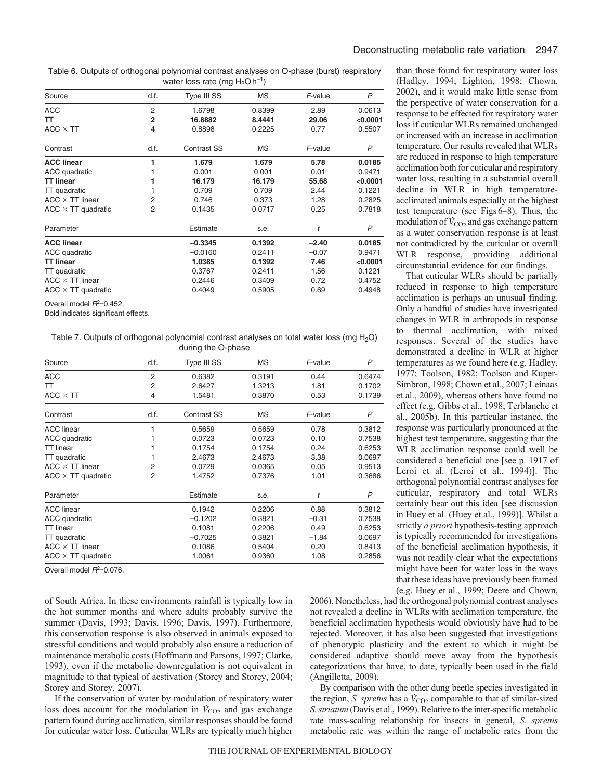Table 6. Outputs of orthogonal polynomial contrast analyses on O-phase (burst) respiratory water loss rate (mg  $H_2O$ h<sup>-1</sup>)

| Source                                                                                                                                        | d.f. | Type III SS        | <b>MS</b> | F-value | P        |
|-----------------------------------------------------------------------------------------------------------------------------------------------|------|--------------------|-----------|---------|----------|
| <b>ACC</b>                                                                                                                                    | 2    | 1.6798             | 0.8399    | 2.89    | 0.0613   |
| TT                                                                                                                                            | 2    | 16.8882            | 8.4441    | 29.06   | < 0.0001 |
| $ACC \times TT$                                                                                                                               | 4    | 0.8898             | 0.2225    | 0.77    | 0.5507   |
| Contrast                                                                                                                                      | d.f. | <b>Contrast SS</b> | ΜS        | F-value | P        |
| <b>ACC linear</b>                                                                                                                             | 1    | 1.679              | 1.679     | 5.78    | 0.0185   |
| ACC quadratic                                                                                                                                 |      | 0.001              | 0.001     | 0.01    | 0.9471   |
| <b>TT linear</b>                                                                                                                              |      | 16.179             | 16.179    | 55.68   | < 0.0001 |
| TT quadratic                                                                                                                                  |      | 0.709              | 0.709     | 2.44    | 0.1221   |
| $ACC \times TT$ linear                                                                                                                        | 2    | 0.746              | 0.373     | 1.28    | 0.2825   |
| $ACC \times TT$ quadratic                                                                                                                     | 2    | 0.1435             | 0.0717    | 0.25    | 0.7818   |
| Parameter                                                                                                                                     |      | Estimate           | s.e.      | t       | P        |
| <b>ACC linear</b>                                                                                                                             |      | $-0.3345$          | 0.1392    | $-2.40$ | 0.0185   |
| ACC quadratic                                                                                                                                 |      | $-0.0160$          | 0.2411    | $-0.07$ | 0.9471   |
| <b>TT linear</b>                                                                                                                              |      | 1.0385             | 0.1392    | 7.46    | < 0.0001 |
| TT quadratic                                                                                                                                  |      | 0.3767             | 0.2411    | 1.56    | 0.1221   |
| $ACC \times TT$ linear                                                                                                                        |      | 0.2446             | 0.3409    | 0.72    | 0.4752   |
| $ACC \times TT$ quadratic                                                                                                                     |      | 0.4049             | 0.5905    | 0.69    | 0.4948   |
| Overall model $R^2$ =0.452.<br>Delektroning tenggal single ang pangalang pangalang pangalang pangalang pangalang ang pangalang pangalang pang |      |                    |           |         |          |

Bold indicates significant effects.

Table 7. Outputs of orthogonal polynomial contrast analyses on total water loss (mg  $H_2O$ ) during the  $\Omega$ -phase

| Source                      | d.f.           | Type III SS        | ΜS     | F-value | P      |
|-----------------------------|----------------|--------------------|--------|---------|--------|
| <b>ACC</b>                  | $\overline{2}$ | 0.6382             | 0.3191 | 0.44    | 0.6474 |
| TT                          | $\overline{c}$ | 2.6427             | 1.3213 | 1.81    | 0.1702 |
| $ACC \times TT$             | $\overline{4}$ | 1.5481             | 0.3870 | 0.53    | 0.1739 |
| Contrast                    | d.f.           | <b>Contrast SS</b> | ΜS     | F-value | P      |
| <b>ACC</b> linear           | 1              | 0.5659             | 0.5659 | 0.78    | 0.3812 |
| ACC quadratic               | 1              | 0.0723             | 0.0723 | 0.10    | 0.7538 |
| <b>TT</b> linear            |                | 0.1754             | 0.1754 | 0.24    | 0.6253 |
| TT quadratic                |                | 2.4673             | 2.4673 | 3.38    | 0.0697 |
| $ACC \times TT$ linear      | 2              | 0.0729             | 0.0365 | 0.05    | 0.9513 |
| $ACC \times TT$ quadratic   | 2              | 1.4752             | 0.7376 | 1.01    | 0.3686 |
| Parameter                   |                | Estimate           | s.e.   | t       | P      |
| <b>ACC</b> linear           |                | 0.1942             | 0.2206 | 0.88    | 0.3812 |
| ACC quadratic               |                | $-0.1202$          | 0.3821 | $-0.31$ | 0.7538 |
| <b>TT</b> linear            |                | 0.1081             | 0.2206 | 0.49    | 0.6253 |
| TT quadratic                |                | $-0.7025$          | 0.3821 | $-1.84$ | 0.0697 |
| $ACC \times TT$ linear      |                | 0.1086             | 0.5404 | 0.20    | 0.8413 |
| $ACC \times TT$ quadratic   |                | 1.0061             | 0.9360 | 1.08    | 0.2856 |
| Overall model $R^2$ =0.076. |                |                    |        |         |        |

than those found for respiratory water loss (Hadley, 1994; Lighton, 1998; Chown, 2002), and it would make little sense from the perspective of water conservation for a response to be effected for respiratory water loss if cuticular WLRs remained unchanged or increased with an increase in acclimation temperature. Our results revealed that WLRs are reduced in response to high temperature acclimation both for cuticular and respiratory water loss, resulting in a substantial overall decline in WLR in high temperatureacclimated animals especially at the highest test temperature (see Figs6–8). Thus, the modulation of  $\dot{V}_{\text{CO}_2}$  and gas exchange pattern as a water conservation response is at least not contradicted by the cuticular or overall WLR response, providing additional circumstantial evidence for our findings.

That cuticular WLRs should be partially reduced in response to high temperature acclimation is perhaps an unusual finding. Only a handful of studies have investigated changes in WLR in arthropods in response to thermal acclimation, with mixed responses. Several of the studies have demonstrated a decline in WLR at higher temperatures as we found here (e.g. Hadley, 1977; Toolson, 1982; Toolson and Kuper-Simbron, 1998; Chown et al., 2007; Leinaas et al., 2009), whereas others have found no effect (e.g. Gibbs et al., 1998; Terblanche et al., 2005b). In this particular instance, the response was particularly pronounced at the highest test temperature, suggesting that the WLR acclimation response could well be considered a beneficial one [see p. 1917 of Leroi et al. (Leroi et al., 1994)]. The orthogonal polynomial contrast analyses for cuticular, respiratory and total WLRs certainly bear out this idea [see discussion in Huey et al. (Huey et al., 1999)]. Whilst a strictly *a priori* hypothesis-testing approach is typically recommended for investigations of the beneficial acclimation hypothesis, it was not readily clear what the expectations might have been for water loss in the ways that these ideas have previously been framed (e.g. Huey et al., 1999; Deere and Chown,

of South Africa. In these environments rainfall is typically low in the hot summer months and where adults probably survive the summer (Davis, 1993; Davis, 1996; Davis, 1997). Furthermore, this conservation response is also observed in animals exposed to stressful conditions and would probably also ensure a reduction of maintenance metabolic costs (Hoffmann and Parsons, 1997; Clarke, 1993), even if the metabolic downregulation is not equivalent in magnitude to that typical of aestivation (Storey and Storey, 2004; Storey and Storey, 2007).

If the conservation of water by modulation of respiratory water loss does account for the modulation in  $\dot{V}_{CO_2}$  and gas exchange pattern found during acclimation, similar responses should be found for cuticular water loss. Cuticular WLRs are typically much higher 2006). Nonetheless, had the orthogonal polynomial contrast analyses not revealed a decline in WLRs with acclimation temperature, the beneficial acclimation hypothesis would obviously have had to be rejected. Moreover, it has also been suggested that investigations of phenotypic plasticity and the extent to which it might be considered adaptive should move away from the hypothesis categorizations that have, to date, typically been used in the field (Angilletta, 2009).

By comparison with the other dung beetle species investigated in the region, *S. spretus* has a  $\dot{V}_{\text{CO2}}$  comparable to that of similar-sized *S. striatum* (Davis et al., 1999). Relative to the inter-specific metabolic rate mass-scaling relationship for insects in general, *S. spretus* metabolic rate was within the range of metabolic rates from the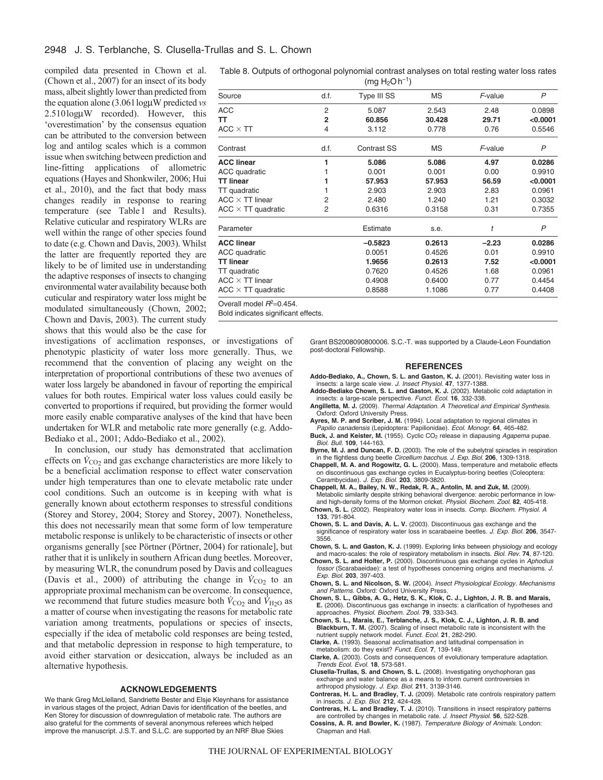compiled data presented in Chown et al. (Chown et al., 2007) for an insect of its body mass, albeit slightly lower than predicted from the equation alone (3.061 logµW predicted *vs* 2.510logW recorded). However, this 'overestimation' by the consensus equation can be attributed to the conversion between log and antilog scales which is a common issue when switching between prediction and line-fitting applications of allometric equations (Hayes and Shonkwiler, 2006; Hui et al., 2010), and the fact that body mass changes readily in response to rearing temperature (see Table1 and Results). Relative cuticular and respiratory WLRs are well within the range of other species found to date (e.g. Chown and Davis, 2003). Whilst the latter are frequently reported they are likely to be of limited use in understanding the adaptive responses of insects to changing environmental water availability because both cuticular and respiratory water loss might be modulated simultaneously (Chown, 2002; Chown and Davis, 2003). The current study shows that this would also be the case for

investigations of acclimation responses, or investigations of phenotypic plasticity of water loss more generally. Thus, we recommend that the convention of placing any weight on the interpretation of proportional contributions of these two avenues of water loss largely be abandoned in favour of reporting the empirical values for both routes. Empirical water loss values could easily be converted to proportions if required, but providing the former would more easily enable comparative analyses of the kind that have been undertaken for WLR and metabolic rate more generally (e.g. Addo-Bediako et al., 2001; Addo-Bediako et al., 2002).

In conclusion, our study has demonstrated that acclimation effects on  $\dot{V}_{\text{CO}_2}$  and gas exchange characteristics are more likely to be a beneficial acclimation response to effect water conservation under high temperatures than one to elevate metabolic rate under cool conditions. Such an outcome is in keeping with what is generally known about ectotherm responses to stressful conditions (Storey and Storey, 2004; Storey and Storey, 2007). Nonetheless, this does not necessarily mean that some form of low temperature metabolic response is unlikely to be characteristic of insects or other organisms generally [see Pörtner (Pörtner, 2004) for rationale], but rather that it is unlikely in southern African dung beetles. Moreover, by measuring WLR, the conundrum posed by Davis and colleagues (Davis et al., 2000) of attributing the change in  $\dot{V}_{CO2}$  to an appropriate proximal mechanism can be overcome. In consequence, we recommend that future studies measure both  $\dot{V}_{\text{CO2}}$  and  $\dot{V}_{\text{H2O}}$  as a matter of course when investigating the reasons for metabolic rate variation among treatments, populations or species of insects, especially if the idea of metabolic cold responses are being tested, and that metabolic depression in response to high temperature, to avoid either starvation or desiccation, always be included as an alternative hypothesis.

# **ACKNOWLEDGEMENTS**

We thank Greg McLlelland, Sandriette Bester and Elsje Kleynhans for assistance in various stages of the project, Adrian Davis for identification of the beetles, and Ken Storey for discussion of downregulation of metabolic rate. The authors are also grateful for the comments of several anonymous referees which helped improve the manuscript. J.S.T. and S.L.C. are supported by an NRF Blue Skies

|  | Table 8. Outputs of orthogonal polynomial contrast analyses on total resting water loss rates |                   |  |  |  |
|--|-----------------------------------------------------------------------------------------------|-------------------|--|--|--|
|  |                                                                                               | $(mq H_2Oh^{-1})$ |  |  |  |

|                             |                | 111191120117       |        |         |                |
|-----------------------------|----------------|--------------------|--------|---------|----------------|
| Source                      | d.f.           | Type III SS        | MS     | F-value | $\overline{P}$ |
| ACC                         | $\overline{2}$ | 5.087              | 2.543  | 2.48    | 0.0898         |
| тт                          | $\overline{2}$ | 60.856             | 30.428 | 29.71   | < 0.0001       |
| ACC $\times$ TT             | 4              | 3.112              | 0.778  | 0.76    | 0.5546         |
| Contrast                    | d.f.           | <b>Contrast SS</b> | MS     | F-value | P              |
| <b>ACC linear</b>           | 1              | 5.086              | 5.086  | 4.97    | 0.0286         |
| ACC quadratic               |                | 0.001              | 0.001  | 0.00    | 0.9910         |
| TT linear                   | 1              | 57,953             | 57.953 | 56.59   | < 0.0001       |
| TT quadratic                |                | 2.903              | 2.903  | 2.83    | 0.0961         |
| $ACC\times TT$ linear       | 2              | 2.480              | 1.240  | 1.21    | 0.3032         |
| ACC $\times$ TT quadratic   | 2              | 0.6316             | 0.3158 | 0.31    | 0.7355         |
| Parameter                   |                | Estimate           | s.e.   | t       | P              |
| <b>ACC linear</b>           |                | $-0.5823$          | 0.2613 | $-2.23$ | 0.0286         |
| ACC quadratic               |                | 0.0051             | 0.4526 | 0.01    | 0.9910         |
| TT linear                   |                | 1.9656             | 0.2613 | 7.52    | < 0.0001       |
| TT quadratic                |                | 0.7620             | 0.4526 | 1.68    | 0.0961         |
| $ACC\times TT$ linear       |                | 0.4908             | 0.6400 | 0.77    | 0.4454         |
| ACC $\times$ TT quadratic   |                | 0.8588             | 1.1086 | 0.77    | 0.4408         |
| Overall model $R^2$ =0.454. |                |                    |        |         |                |

Bold indicates significant effects.

Grant BS2008090800006. S.C.-T. was supported by a Claude-Leon Foundation post-doctoral Fellowship.

### **REFERENCES**

- **Addo-Bediako, A., Chown, S. L. and Gaston, K. J.** (2001). Revisiting water loss in insects: a large scale view. J. Insect Physiol. **47**, 1377-1388.
- **Addo-Bediako Chown, S. L. and Gaston, K. J.** (2002). Metabolic cold adaptation in insects: a large-scale perspective. Funct. Ecol. **16**, 332-338.
- **Angilletta, M. J.** (2009). Thermal Adaptation. A Theoretical and Empirical Synthesis. Oxford: Oxford University Press.
- **Ayres, M. P. and Scriber, J. M.** (1994). Local adaptation to regional climates in Papilio canadensis (Lepidoptera: Papilionidae). Ecol. Monogr. **64**, 465-482.
- Buck, J. and Keister, M. (1955). Cyclic CO<sub>2</sub> release in diapausing Agapema pupae. Biol. Bull. **109**, 144-163.
- **Byrne, M. J. and Duncan, F. D.** (2003). The role of the subelytral spiracles in respiration in the flightless dung beetle Circellium bacchus. J. Exp. Biol. **206**, 1309-1318.
- **Chappell, M. A. and Rogowitz, G. L.** (2000). Mass, temperature and metabolic effects on discontinuous gas exchange cycles in Eucalyptus-boring beetles (Coleoptera: Cerambycidae). J. Exp. Biol. **203**, 3809-3820.
- **Chappell, M. A., Bailey, N. W., Redak, R. A., Antolin, M. and Zuk, M.** (2009). Metabolic similarity despite striking behavioral divergence: aerobic performance in lowand high-density forms of the Mormon cricket. Physiol. Biochem. Zool. **82**, 405-418. **Chown, S. L.** (2002). Respiratory water loss in insects. Comp. Biochem. Physiol. A
- **133**, 791-804. **Chown, S. L. and Davis, A. L. V.** (2003). Discontinuous gas exchange and the significance of respiratory water loss in scarabaeine beetles. J. Exp. Biol. **206**, 3547- 3556.
- **Chown, S. L. and Gaston, K. J.** (1999). Exploring links between physiology and ecology and macro-scales: the role of respiratory metabolism in insects. Biol. Rev. **74**, 87-120.
- **Chown, S. L. and Holter, P.** (2000). Discontinuous gas exchange cycles in Aphodius fossor (Scarabaeidae): a test of hypotheses concerning origins and mechanisms. J. Exp. Biol. **203**, 397-403.
- **Chown, S. L. and Nicolson, S. W.** (2004). Insect Physiological Ecology. Mechanisms and Patterns. Oxford: Oxford University Press.
- **Chown, S. L., Gibbs, A. G., Hetz, S. K., Klok, C. J., Lighton, J. R. B. and Marais, E.** (2006). Discontinuous gas exchange in insects: a clarification of hypotheses and approaches. Physiol. Biochem. Zool. **79**, 333-343.
- **Chown, S. L., Marais, E., Terblanche, J. S., Klok, C. J., Lighton, J. R. B. and Blackburn, T. M.** (2007). Scaling of insect metabolic rate is inconsistent with the nutrient supply network model. Funct. Ecol. **21**, 282-290.
- **Clarke, A.** (1993). Seasonal acclimatisation and latitudinal compensation in metabolism: do they exist? Funct. Ecol. **7**, 139-149.
- **Clarke, A.** (2003). Costs and consequences of evolutionary temperature adaptation. Trends Ecol. Evol. **18**, 573-581.
- **Clusella-Trullas, S. and Chown, S. L.** (2008). Investigating onychophoran gas exchange and water balance as a means to inform current controversies in arthropod physiology. J. Exp. Biol. **211**, 3139-3146.
- **Contreras, H. L. and Bradley, T. J.** (2009). Metabolic rate controls respiratory pattern in insects. J. Exp. Biol. **212**, 424-428.
- **Contreras, H. L. and Bradley, T. J.** (2010). Transitions in insect respiratory patterns are controlled by changes in metabolic rate. J. Insect Physiol. **56**, 522-528.
- **Cossins, A. R. and Bowler, K.** (1987). Temperature Biology of Animals. London: Chapman and Hall.